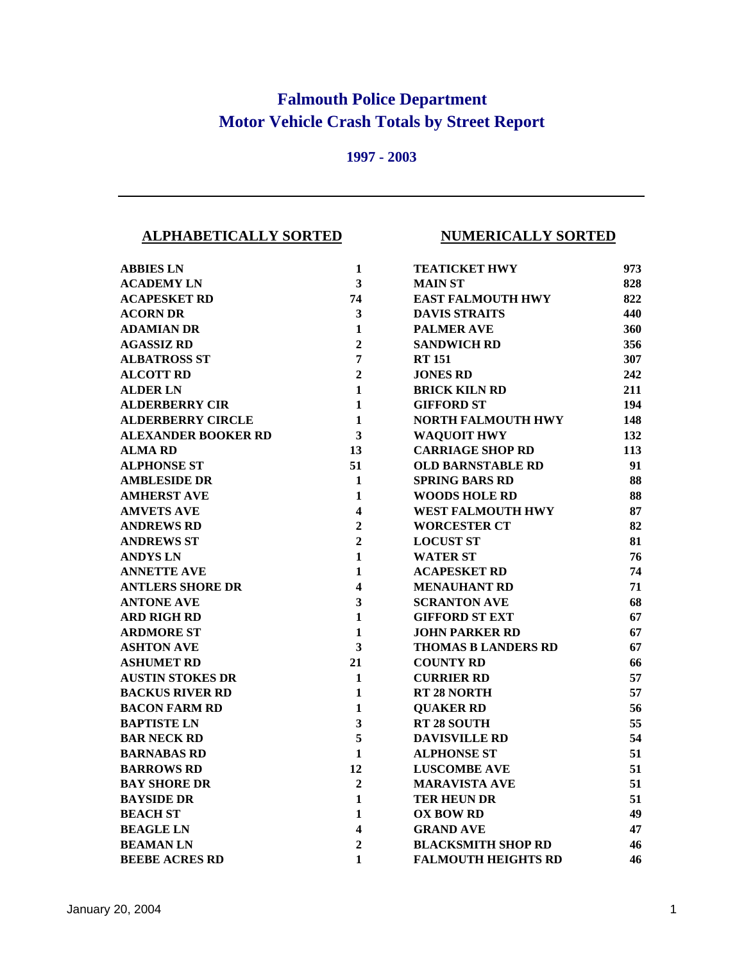## **Falmouth Police Department Motor Vehicle Crash Totals by Street Report**

## **1997 - 2003**

## **ALPHABETICALLY SORTED NUMERICALLY SORTED**

| <b>ABBIES LN</b>           | 1                       | <b>TEATICKET HWY</b>       | 973 |
|----------------------------|-------------------------|----------------------------|-----|
| <b>ACADEMY LN</b>          | $\overline{\mathbf{3}}$ | <b>MAIN ST</b>             | 828 |
| <b>ACAPESKET RD</b>        | 74                      | <b>EAST FALMOUTH HWY</b>   | 822 |
| <b>ACORN DR</b>            | $\overline{\mathbf{3}}$ | <b>DAVIS STRAITS</b>       | 440 |
| <b>ADAMIAN DR</b>          | 1                       | <b>PALMER AVE</b>          | 360 |
| <b>AGASSIZ RD</b>          | $\overline{2}$          | <b>SANDWICH RD</b>         | 356 |
| <b>ALBATROSS ST</b>        | $\overline{7}$          | <b>RT 151</b>              | 307 |
| <b>ALCOTT RD</b>           | $\overline{2}$          | <b>JONES RD</b>            | 242 |
| <b>ALDER LN</b>            | $\mathbf{1}$            | <b>BRICK KILN RD</b>       | 211 |
| <b>ALDERBERRY CIR</b>      | $\mathbf{1}$            | <b>GIFFORD ST</b>          | 194 |
| <b>ALDERBERRY CIRCLE</b>   | $\mathbf{1}$            | NORTH FALMOUTH HWY         | 148 |
| <b>ALEXANDER BOOKER RD</b> | $\overline{\mathbf{3}}$ | <b>WAQUOIT HWY</b>         | 132 |
| <b>ALMA RD</b>             | 13                      | <b>CARRIAGE SHOP RD</b>    | 113 |
| <b>ALPHONSE ST</b>         | 51                      | <b>OLD BARNSTABLE RD</b>   | 91  |
| <b>AMBLESIDE DR</b>        | $\mathbf{1}$            | <b>SPRING BARS RD</b>      | 88  |
| <b>AMHERST AVE</b>         | $\mathbf{1}$            | <b>WOODS HOLE RD</b>       | 88  |
| <b>AMVETS AVE</b>          | 4                       | <b>WEST FALMOUTH HWY</b>   | 87  |
| <b>ANDREWS RD</b>          | $\overline{2}$          | <b>WORCESTER CT</b>        | 82  |
| <b>ANDREWS ST</b>          | $\overline{2}$          | <b>LOCUST ST</b>           | 81  |
| <b>ANDYS LN</b>            | $\mathbf{1}$            | <b>WATER ST</b>            | 76  |
| <b>ANNETTE AVE</b>         | $\mathbf{1}$            | <b>ACAPESKET RD</b>        | 74  |
| <b>ANTLERS SHORE DR</b>    | $\overline{\mathbf{4}}$ | <b>MENAUHANT RD</b>        | 71  |
| <b>ANTONE AVE</b>          | 3                       | <b>SCRANTON AVE</b>        | 68  |
| <b>ARD RIGH RD</b>         | $\mathbf{1}$            | <b>GIFFORD ST EXT</b>      | 67  |
| <b>ARDMORE ST</b>          | $\mathbf{1}$            | <b>JOHN PARKER RD</b>      | 67  |
| <b>ASHTON AVE</b>          | $\overline{\mathbf{3}}$ | <b>THOMAS B LANDERS RD</b> | 67  |
| <b>ASHUMET RD</b>          | 21                      | <b>COUNTY RD</b>           | 66  |
| <b>AUSTIN STOKES DR</b>    | $\mathbf{1}$            | <b>CURRIER RD</b>          | 57  |
| <b>BACKUS RIVER RD</b>     | 1                       | <b>RT 28 NORTH</b>         | 57  |
| <b>BACON FARM RD</b>       | 1                       | <b>QUAKER RD</b>           | 56  |
| <b>BAPTISTE LN</b>         | 3                       | <b>RT 28 SOUTH</b>         | 55  |
| <b>BAR NECK RD</b>         | 5                       | <b>DAVISVILLE RD</b>       | 54  |
| <b>BARNABAS RD</b>         | $\mathbf{1}$            | <b>ALPHONSE ST</b>         | 51  |
| <b>BARROWS RD</b>          | 12                      | <b>LUSCOMBE AVE</b>        | 51  |
| <b>BAY SHORE DR</b>        | $\overline{2}$          | <b>MARAVISTA AVE</b>       | 51  |
| <b>BAYSIDE DR</b>          | $\mathbf{1}$            | <b>TER HEUN DR</b>         | 51  |
| <b>BEACH ST</b>            | 1                       | <b>OX BOW RD</b>           | 49  |
| <b>BEAGLE LN</b>           | 4                       | <b>GRAND AVE</b>           | 47  |
| <b>BEAMAN LN</b>           | $\overline{2}$          | <b>BLACKSMITH SHOP RD</b>  | 46  |
| <b>BEEBE ACRES RD</b>      | 1                       | <b>FALMOUTH HEIGHTS RD</b> | 46  |

| l            | <b>TEATICKET HWY</b>       | 973 |
|--------------|----------------------------|-----|
| 3            | <b>MAIN ST</b>             | 828 |
| 4            | <b>EAST FALMOUTH HWY</b>   | 822 |
| 3            | <b>DAVIS STRAITS</b>       | 440 |
| l            | <b>PALMER AVE</b>          | 360 |
| 2            | <b>SANDWICH RD</b>         | 356 |
| 7            | <b>RT 151</b>              | 307 |
| 2            | <b>JONES RD</b>            | 242 |
| l            | <b>BRICK KILN RD</b>       | 211 |
| l            | <b>GIFFORD ST</b>          | 194 |
| $\mathbf{I}$ | <b>NORTH FALMOUTH HWY</b>  | 148 |
| 3            | <b>WAQUOIT HWY</b>         | 132 |
| 3            | <b>CARRIAGE SHOP RD</b>    | 113 |
| l            | <b>OLD BARNSTABLE RD</b>   | 91  |
| l            | <b>SPRING BARS RD</b>      | 88  |
| l            | <b>WOODS HOLE RD</b>       | 88  |
| 1            | <b>WEST FALMOUTH HWY</b>   | 87  |
| 2            | <b>WORCESTER CT</b>        | 82  |
| 2            | <b>LOCUST ST</b>           | 81  |
| l            | <b>WATER ST</b>            | 76  |
| l            | <b>ACAPESKET RD</b>        | 74  |
| 4            | <b>MENAUHANT RD</b>        | 71  |
| 3            | <b>SCRANTON AVE</b>        | 68  |
| $\mathbf{I}$ | <b>GIFFORD ST EXT</b>      | 67  |
| l            | <b>JOHN PARKER RD</b>      | 67  |
| 3            | <b>THOMAS B LANDERS RD</b> | 67  |
| l            | <b>COUNTY RD</b>           | 66  |
| l            | <b>CURRIER RD</b>          | 57  |
| l            | <b>RT 28 NORTH</b>         | 57  |
| l            | <b>OUAKER RD</b>           | 56  |
| 3            | RT 28 SOUTH                | 55  |
| 5            | <b>DAVISVILLE RD</b>       | 54  |
| $\mathbf{I}$ | <b>ALPHONSE ST</b>         | 51  |
| 2            | <b>LUSCOMBE AVE</b>        | 51  |
| 2            | <b>MARAVISTA AVE</b>       | 51  |
| $\mathbf{I}$ | <b>TER HEUN DR</b>         | 51  |
| 1            | <b>OX BOW RD</b>           | 49  |
| 4            | <b>GRAND AVE</b>           | 47  |
| 2            | <b>BLACKSMITH SHOP RD</b>  | 46  |
|              |                            |     |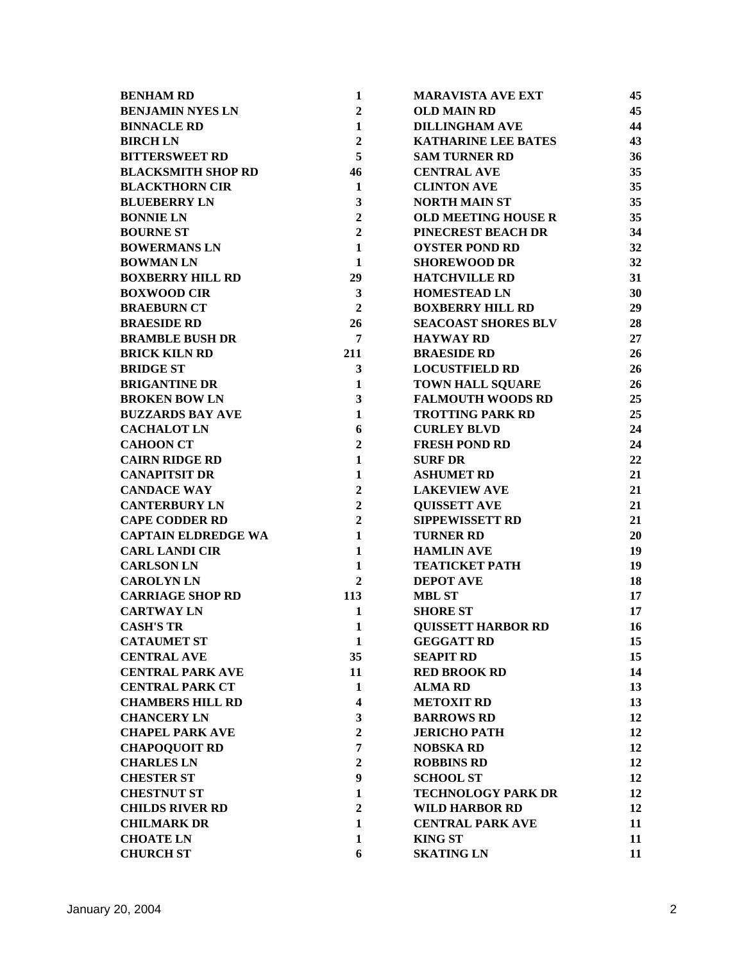| <b>BENHAM RD</b>           | $\mathbf{1}$            | <b>MARAVISTA AVE EXT</b>   | 45 |
|----------------------------|-------------------------|----------------------------|----|
| <b>BENJAMIN NYES LN</b>    | $\overline{2}$          | <b>OLD MAIN RD</b>         | 45 |
| <b>BINNACLE RD</b>         | $\mathbf{1}$            | <b>DILLINGHAM AVE</b>      | 44 |
| <b>BIRCHLN</b>             | $\overline{2}$          | <b>KATHARINE LEE BATES</b> | 43 |
| <b>BITTERSWEET RD</b>      | 5                       | <b>SAM TURNER RD</b>       | 36 |
| <b>BLACKSMITH SHOP RD</b>  | 46                      | <b>CENTRAL AVE</b>         | 35 |
| <b>BLACKTHORN CIR</b>      | $\mathbf{1}$            | <b>CLINTON AVE</b>         | 35 |
| <b>BLUEBERRY LN</b>        | $\mathbf{3}$            | <b>NORTH MAIN ST</b>       | 35 |
| <b>BONNIE LN</b>           | $\overline{2}$          | <b>OLD MEETING HOUSE R</b> | 35 |
| <b>BOURNE ST</b>           | $\overline{2}$          | PINECREST BEACH DR         | 34 |
| <b>BOWERMANS LN</b>        | $\mathbf{1}$            | <b>OYSTER POND RD</b>      | 32 |
| <b>BOWMAN LN</b>           | $\mathbf{1}$            | <b>SHOREWOOD DR</b>        | 32 |
| <b>BOXBERRY HILL RD</b>    | 29                      | <b>HATCHVILLE RD</b>       | 31 |
| <b>BOXWOOD CIR</b>         | $\mathbf{3}$            | <b>HOMESTEAD LN</b>        | 30 |
| <b>BRAEBURN CT</b>         | $\overline{2}$          | <b>BOXBERRY HILL RD</b>    | 29 |
| <b>BRAESIDE RD</b>         | 26                      | <b>SEACOAST SHORES BLV</b> | 28 |
| <b>BRAMBLE BUSH DR</b>     | $\overline{7}$          | <b>HAYWAY RD</b>           | 27 |
| <b>BRICK KILN RD</b>       | 211                     | <b>BRAESIDE RD</b>         | 26 |
| <b>BRIDGE ST</b>           | $\mathbf{3}$            | <b>LOCUSTFIELD RD</b>      | 26 |
| <b>BRIGANTINE DR</b>       | 1                       | <b>TOWN HALL SQUARE</b>    | 26 |
| <b>BROKEN BOW LN</b>       | $\mathbf{3}$            | <b>FALMOUTH WOODS RD</b>   | 25 |
| <b>BUZZARDS BAY AVE</b>    | $\mathbf{1}$            | <b>TROTTING PARK RD</b>    | 25 |
| <b>CACHALOT LN</b>         | 6                       | <b>CURLEY BLVD</b>         | 24 |
| <b>CAHOON CT</b>           | $\overline{2}$          | <b>FRESH POND RD</b>       | 24 |
| <b>CAIRN RIDGE RD</b>      | $\mathbf{1}$            | <b>SURF DR</b>             | 22 |
| <b>CANAPITSIT DR</b>       | $\mathbf{1}$            | <b>ASHUMET RD</b>          | 21 |
| <b>CANDACE WAY</b>         | $\overline{2}$          | <b>LAKEVIEW AVE</b>        | 21 |
| <b>CANTERBURY LN</b>       | $\overline{2}$          | <b>QUISSETT AVE</b>        | 21 |
| <b>CAPE CODDER RD</b>      | $\overline{2}$          | <b>SIPPEWISSETT RD</b>     | 21 |
| <b>CAPTAIN ELDREDGE WA</b> | $\mathbf{1}$            | <b>TURNER RD</b>           | 20 |
| <b>CARL LANDI CIR</b>      | $\mathbf{1}$            | <b>HAMLIN AVE</b>          | 19 |
| <b>CARLSON LN</b>          | $\mathbf{1}$            | <b>TEATICKET PATH</b>      | 19 |
| <b>CAROLYNLN</b>           | $\overline{2}$          | <b>DEPOT AVE</b>           | 18 |
| <b>CARRIAGE SHOP RD</b>    | 113                     | <b>MBL ST</b>              | 17 |
| <b>CARTWAY LN</b>          | $\mathbf{1}$            | <b>SHORE ST</b>            | 17 |
| <b>CASH'S TR</b>           | $\mathbf{1}$            | <b>OUISSETT HARBOR RD</b>  | 16 |
| <b>CATAUMET ST</b>         | $\mathbf{1}$            | <b>GEGGATT RD</b>          | 15 |
| <b>CENTRAL AVE</b>         | 35                      | <b>SEAPIT RD</b>           | 15 |
| <b>CENTRAL PARK AVE</b>    | 11                      | <b>RED BROOK RD</b>        | 14 |
| <b>CENTRAL PARK CT</b>     | 1                       | <b>ALMARD</b>              | 13 |
| <b>CHAMBERS HILL RD</b>    | $\overline{\mathbf{4}}$ | <b>METOXIT RD</b>          | 13 |
| <b>CHANCERY LN</b>         | 3                       | <b>BARROWS RD</b>          | 12 |
| <b>CHAPEL PARK AVE</b>     | $\overline{2}$          | <b>JERICHO PATH</b>        | 12 |
| <b>CHAPOQUOIT RD</b>       | 7                       | <b>NOBSKA RD</b>           | 12 |
| <b>CHARLES LN</b>          | $\overline{2}$          | <b>ROBBINS RD</b>          | 12 |
| <b>CHESTER ST</b>          | 9                       | <b>SCHOOL ST</b>           | 12 |
| <b>CHESTNUT ST</b>         | $\mathbf{1}$            | <b>TECHNOLOGY PARK DR</b>  | 12 |
| <b>CHILDS RIVER RD</b>     | $\overline{2}$          | <b>WILD HARBOR RD</b>      | 12 |
| <b>CHILMARK DR</b>         | $\mathbf{1}$            | <b>CENTRAL PARK AVE</b>    | 11 |
| <b>CHOATE LN</b>           | $\mathbf{1}$            | <b>KING ST</b>             | 11 |
| <b>CHURCH ST</b>           | 6                       | <b>SKATING LN</b>          | 11 |
|                            |                         |                            |    |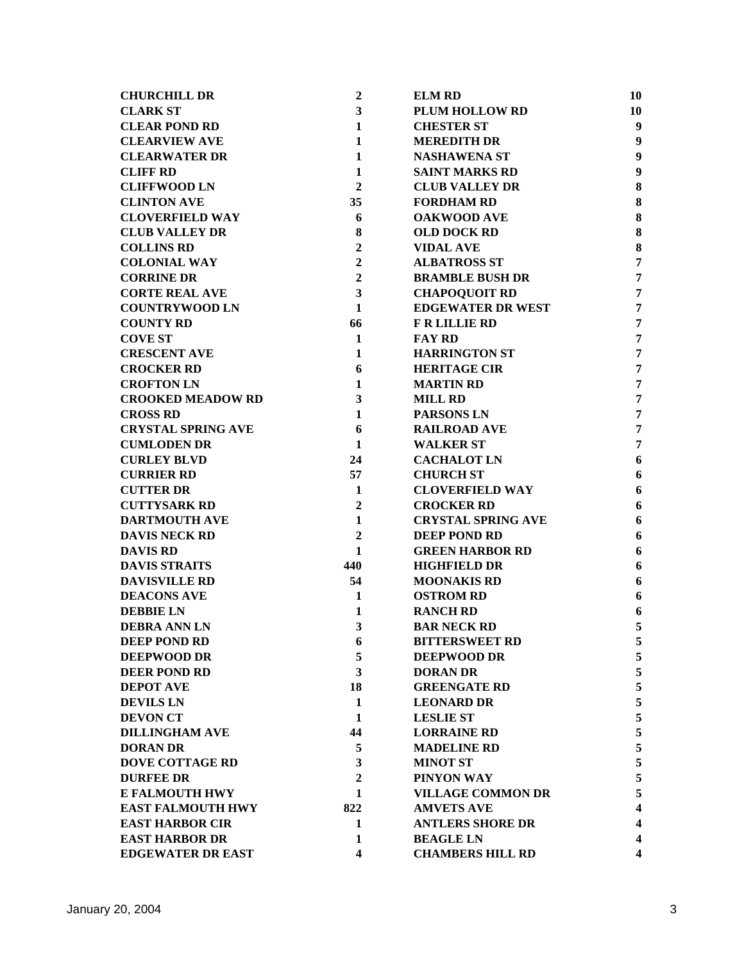| <b>CHURCHILL DR</b>       | $\boldsymbol{2}$        | <b>ELM RD</b>             | 10                      |
|---------------------------|-------------------------|---------------------------|-------------------------|
| <b>CLARK ST</b>           | $\mathbf{3}$            | <b>PLUM HOLLOW RD</b>     | 10                      |
| <b>CLEAR POND RD</b>      | $\mathbf{1}$            | <b>CHESTER ST</b>         | $\boldsymbol{9}$        |
| <b>CLEARVIEW AVE</b>      | $\mathbf{1}$            | <b>MEREDITH DR</b>        | $\boldsymbol{9}$        |
| <b>CLEARWATER DR</b>      | $\mathbf{1}$            | <b>NASHAWENA ST</b>       | 9                       |
| <b>CLIFF RD</b>           | 1                       | <b>SAINT MARKS RD</b>     | $\boldsymbol{9}$        |
| <b>CLIFFWOOD LN</b>       | $\mathbf{2}$            | <b>CLUB VALLEY DR</b>     | 8                       |
| <b>CLINTON AVE</b>        | 35                      | <b>FORDHAM RD</b>         | 8                       |
| <b>CLOVERFIELD WAY</b>    | 6                       | <b>OAKWOOD AVE</b>        | 8                       |
| <b>CLUB VALLEY DR</b>     | 8                       | <b>OLD DOCK RD</b>        | 8                       |
| <b>COLLINS RD</b>         | $\overline{2}$          | <b>VIDAL AVE</b>          | 8                       |
| <b>COLONIAL WAY</b>       | $\overline{2}$          | <b>ALBATROSS ST</b>       | $\overline{7}$          |
| <b>CORRINE DR</b>         | $\overline{2}$          | <b>BRAMBLE BUSH DR</b>    | $\overline{7}$          |
| <b>CORTE REAL AVE</b>     | $\overline{\mathbf{3}}$ | <b>CHAPOQUOIT RD</b>      | $\overline{7}$          |
| <b>COUNTRYWOOD LN</b>     | $\mathbf{1}$            | <b>EDGEWATER DR WEST</b>  | $\overline{7}$          |
| <b>COUNTY RD</b>          | 66                      | <b>F R LILLIE RD</b>      | $\overline{7}$          |
| <b>COVE ST</b>            | $\mathbf{1}$            | <b>FAY RD</b>             | $\overline{7}$          |
| <b>CRESCENT AVE</b>       | 1                       | <b>HARRINGTON ST</b>      | $\overline{7}$          |
| <b>CROCKER RD</b>         | 6                       | <b>HERITAGE CIR</b>       | $\overline{7}$          |
| <b>CROFTON LN</b>         | $\mathbf{1}$            | <b>MARTIN RD</b>          | $\overline{7}$          |
| <b>CROOKED MEADOW RD</b>  | $\overline{\mathbf{3}}$ | <b>MILL RD</b>            | $\overline{7}$          |
| <b>CROSS RD</b>           | 1                       | <b>PARSONS LN</b>         | $\overline{7}$          |
| <b>CRYSTAL SPRING AVE</b> | 6                       | <b>RAILROAD AVE</b>       | $\overline{7}$          |
| <b>CUMLODEN DR</b>        | $\mathbf{1}$            | <b>WALKER ST</b>          | $\overline{7}$          |
| <b>CURLEY BLVD</b>        | 24                      | <b>CACHALOT LN</b>        | 6                       |
| <b>CURRIER RD</b>         | 57                      | <b>CHURCH ST</b>          | 6                       |
| <b>CUTTER DR</b>          | $\mathbf{1}$            | <b>CLOVERFIELD WAY</b>    | 6                       |
| <b>CUTTYSARK RD</b>       | $\boldsymbol{2}$        | <b>CROCKER RD</b>         | 6                       |
| <b>DARTMOUTH AVE</b>      | $\mathbf{1}$            | <b>CRYSTAL SPRING AVE</b> | 6                       |
| <b>DAVIS NECK RD</b>      | $\overline{2}$          | <b>DEEP POND RD</b>       | 6                       |
| <b>DAVIS RD</b>           | 1                       | <b>GREEN HARBOR RD</b>    | 6                       |
| <b>DAVIS STRAITS</b>      | 440                     | <b>HIGHFIELD DR</b>       | 6                       |
| <b>DAVISVILLE RD</b>      | 54                      | <b>MOONAKIS RD</b>        | 6                       |
| <b>DEACONS AVE</b>        | 1                       | <b>OSTROM RD</b>          | 6                       |
| <b>DEBBIE LN</b>          | 1                       | <b>RANCH RD</b>           | 6                       |
| <b>DEBRA ANN LN</b>       | 3                       | <b>BAR NECK RD</b>        | 5                       |
| <b>DEEP POND RD</b>       | 6                       | <b>BITTERSWEET RD</b>     | 5                       |
| <b>DEEPWOOD DR</b>        | 5                       | <b>DEEPWOOD DR</b>        | 5                       |
| <b>DEER POND RD</b>       | 3                       | <b>DORAN DR</b>           | 5                       |
| <b>DEPOT AVE</b>          | 18                      | <b>GREENGATE RD</b>       | 5                       |
| <b>DEVILS LN</b>          | 1                       | <b>LEONARD DR</b>         | 5                       |
| <b>DEVON CT</b>           | $\mathbf{1}$            | <b>LESLIE ST</b>          | 5                       |
| <b>DILLINGHAM AVE</b>     | 44                      | <b>LORRAINE RD</b>        | 5                       |
| <b>DORAN DR</b>           | 5                       | <b>MADELINE RD</b>        | 5                       |
| <b>DOVE COTTAGE RD</b>    | 3                       | <b>MINOT ST</b>           | 5                       |
| <b>DURFEE DR</b>          | $\overline{2}$          | PINYON WAY                | 5                       |
| E FALMOUTH HWY            | 1                       | <b>VILLAGE COMMON DR</b>  | 5                       |
| <b>EAST FALMOUTH HWY</b>  | 822                     | <b>AMVETS AVE</b>         | $\overline{\mathbf{4}}$ |
| <b>EAST HARBOR CIR</b>    | 1                       | <b>ANTLERS SHORE DR</b>   | $\overline{\mathbf{4}}$ |
| <b>EAST HARBOR DR</b>     | 1                       | <b>BEAGLE LN</b>          | $\overline{\mathbf{4}}$ |
| <b>EDGEWATER DR EAST</b>  | $\overline{\mathbf{4}}$ | <b>CHAMBERS HILL RD</b>   | $\overline{\mathbf{4}}$ |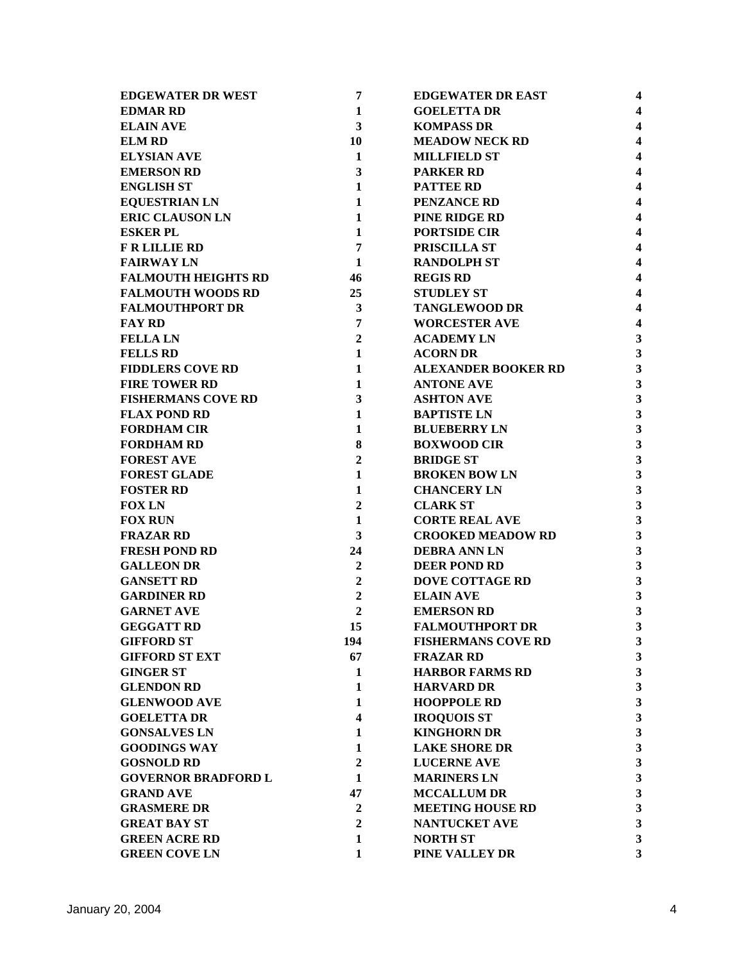| <b>EDGEWATER DR WEST</b>   | 7                | <b>EDGEWATER DR EAST</b>   | 4                       |
|----------------------------|------------------|----------------------------|-------------------------|
| <b>EDMAR RD</b>            | $\mathbf{1}$     | <b>GOELETTA DR</b>         | $\overline{\mathbf{4}}$ |
| <b>ELAIN AVE</b>           | 3                | <b>KOMPASS DR</b>          | $\overline{\mathbf{4}}$ |
| <b>ELM RD</b>              | 10               | <b>MEADOW NECK RD</b>      | $\overline{\mathbf{4}}$ |
| <b>ELYSIAN AVE</b>         | $\mathbf 1$      | <b>MILLFIELD ST</b>        | $\overline{\mathbf{4}}$ |
| <b>EMERSON RD</b>          | 3                | <b>PARKER RD</b>           | $\overline{\mathbf{4}}$ |
| <b>ENGLISH ST</b>          | $\mathbf{1}$     | <b>PATTEE RD</b>           | $\overline{\mathbf{4}}$ |
| <b>EQUESTRIAN LN</b>       | 1                | <b>PENZANCE RD</b>         | $\overline{\mathbf{4}}$ |
| <b>ERIC CLAUSON LN</b>     | $\mathbf{1}$     | <b>PINE RIDGE RD</b>       | $\overline{\mathbf{4}}$ |
| <b>ESKER PL</b>            | $\mathbf{1}$     | <b>PORTSIDE CIR</b>        | $\overline{\mathbf{4}}$ |
| <b>F R LILLIE RD</b>       | $\overline{7}$   | PRISCILLA ST               | $\overline{\mathbf{4}}$ |
| <b>FAIRWAY LN</b>          | $\mathbf{1}$     | <b>RANDOLPH ST</b>         | $\overline{4}$          |
| <b>FALMOUTH HEIGHTS RD</b> | 46               | <b>REGIS RD</b>            | $\overline{\mathbf{4}}$ |
| <b>FALMOUTH WOODS RD</b>   | 25               | <b>STUDLEY ST</b>          | $\overline{\mathbf{4}}$ |
| <b>FALMOUTHPORT DR</b>     | $\mathbf{3}$     | <b>TANGLEWOOD DR</b>       | $\overline{\mathbf{4}}$ |
| <b>FAY RD</b>              | $\overline{7}$   | <b>WORCESTER AVE</b>       | $\overline{\mathbf{4}}$ |
| <b>FELLA LN</b>            | $\overline{2}$   | <b>ACADEMY LN</b>          | 3                       |
| <b>FELLS RD</b>            | $\mathbf{1}$     | <b>ACORN DR</b>            | 3                       |
| <b>FIDDLERS COVE RD</b>    | $\mathbf{1}$     | <b>ALEXANDER BOOKER RD</b> | $\overline{\mathbf{3}}$ |
| <b>FIRE TOWER RD</b>       | 1                | <b>ANTONE AVE</b>          | 3                       |
| <b>FISHERMANS COVE RD</b>  | $\mathbf{3}$     | <b>ASHTON AVE</b>          | 3                       |
| <b>FLAX POND RD</b>        | $\mathbf{1}$     | <b>BAPTISTE LN</b>         | $\mathbf{3}$            |
| <b>FORDHAM CIR</b>         | $\mathbf{1}$     | <b>BLUEBERRY LN</b>        | 3                       |
| <b>FORDHAM RD</b>          | 8                | <b>BOXWOOD CIR</b>         | 3                       |
| <b>FOREST AVE</b>          | $\overline{2}$   | <b>BRIDGE ST</b>           | 3                       |
| <b>FOREST GLADE</b>        | $\mathbf{1}$     | <b>BROKEN BOW LN</b>       | $\overline{\mathbf{3}}$ |
| <b>FOSTER RD</b>           | $\mathbf{1}$     | <b>CHANCERY LN</b>         | $\overline{\mathbf{3}}$ |
| <b>FOX LN</b>              | $\boldsymbol{2}$ | <b>CLARK ST</b>            | $\overline{\mathbf{3}}$ |
| <b>FOX RUN</b>             | $\mathbf{1}$     | <b>CORTE REAL AVE</b>      | $\overline{\mathbf{3}}$ |
| <b>FRAZAR RD</b>           | 3                | <b>CROOKED MEADOW RD</b>   | 3                       |
| <b>FRESH POND RD</b>       | 24               | <b>DEBRA ANN LN</b>        | 3                       |
| <b>GALLEON DR</b>          | $\overline{2}$   | <b>DEER POND RD</b>        | 3                       |
| <b>GANSETT RD</b>          | $\overline{2}$   | <b>DOVE COTTAGE RD</b>     | $\mathbf{3}$            |
| <b>GARDINER RD</b>         | $\boldsymbol{2}$ | <b>ELAIN AVE</b>           | $\mathbf{3}$            |
| <b>GARNET AVE</b>          | $\boldsymbol{2}$ | <b>EMERSON RD</b>          | 3                       |
| <b>GEGGATT RD</b>          | 15               | <b>FALMOUTHPORT DR</b>     | 3                       |
| <b>GIFFORD ST</b>          | 194              | <b>FISHERMANS COVE RD</b>  | 3                       |
| <b>GIFFORD ST EXT</b>      | 67               | <b>FRAZAR RD</b>           | $\overline{\mathbf{3}}$ |
| <b>GINGER ST</b>           | 1                | <b>HARBOR FARMS RD</b>     | $\overline{\mathbf{3}}$ |
| <b>GLENDON RD</b>          | 1                | <b>HARVARD DR</b>          | $\overline{\mathbf{3}}$ |
| <b>GLENWOOD AVE</b>        | $\mathbf{1}$     | <b>HOOPPOLE RD</b>         | $\overline{\mathbf{3}}$ |
| <b>GOELETTA DR</b>         | 4                | <b>IROQUOIS ST</b>         | 3                       |
| <b>GONSALVES LN</b>        | 1                | <b>KINGHORN DR</b>         | $\overline{\mathbf{3}}$ |
| <b>GOODINGS WAY</b>        | 1                | <b>LAKE SHORE DR</b>       | $\overline{\mathbf{3}}$ |
| <b>GOSNOLD RD</b>          | $\boldsymbol{2}$ | <b>LUCERNE AVE</b>         | $\overline{\mathbf{3}}$ |
| <b>GOVERNOR BRADFORD L</b> | 1                | <b>MARINERS LN</b>         | 3                       |
| <b>GRAND AVE</b>           | 47               | <b>MCCALLUM DR</b>         | 3                       |
| <b>GRASMERE DR</b>         | $\boldsymbol{2}$ | <b>MEETING HOUSE RD</b>    | $\overline{\mathbf{3}}$ |
| <b>GREAT BAY ST</b>        | $\boldsymbol{2}$ | NANTUCKET AVE              | $\overline{\mathbf{3}}$ |
| <b>GREEN ACRE RD</b>       | $\mathbf{1}$     | <b>NORTH ST</b>            | $\overline{\mathbf{3}}$ |
| <b>GREEN COVE LN</b>       | 1                | PINE VALLEY DR             | 3                       |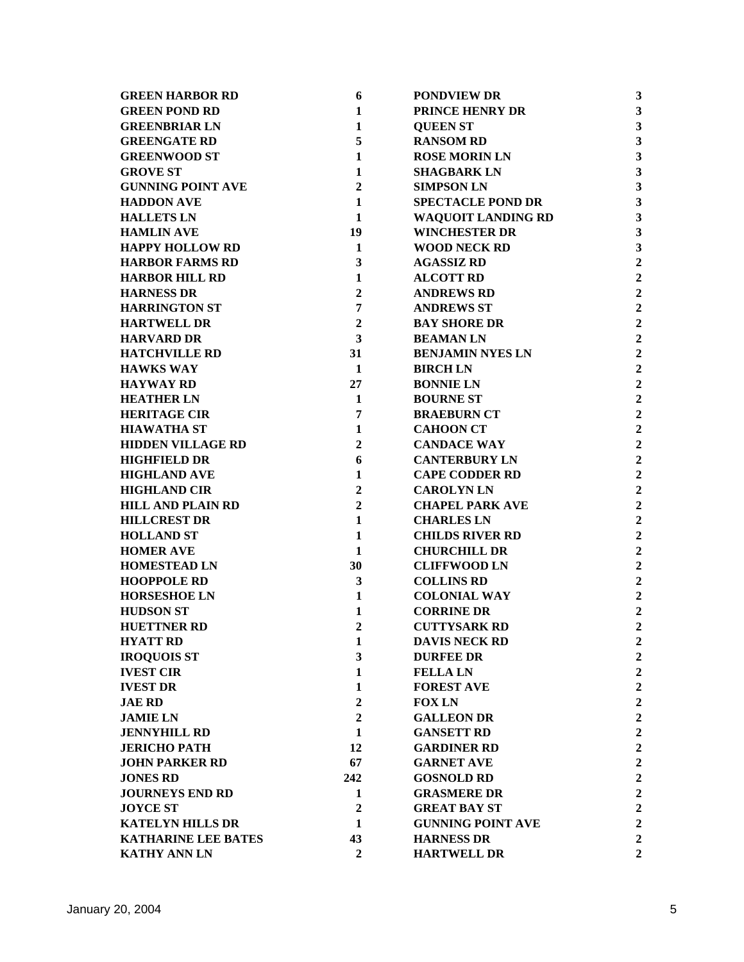| <b>GREEN HARBOR RD</b>     | 6                | <b>PONDVIEW DR</b>        | 3                       |
|----------------------------|------------------|---------------------------|-------------------------|
| <b>GREEN POND RD</b>       | 1                | <b>PRINCE HENRY DR</b>    | 3                       |
| <b>GREENBRIAR LN</b>       | $\mathbf{1}$     | <b>QUEEN ST</b>           | $\overline{\mathbf{3}}$ |
| <b>GREENGATE RD</b>        | 5                | <b>RANSOM RD</b>          | $\overline{\mathbf{3}}$ |
| <b>GREENWOOD ST</b>        | $\mathbf 1$      | <b>ROSE MORIN LN</b>      | $\overline{\mathbf{3}}$ |
| <b>GROVE ST</b>            | 1                | <b>SHAGBARK LN</b>        | $\mathbf{3}$            |
| <b>GUNNING POINT AVE</b>   | $\mathbf{2}$     | <b>SIMPSON LN</b>         | $\overline{\mathbf{3}}$ |
| <b>HADDON AVE</b>          | 1                | <b>SPECTACLE POND DR</b>  | $\overline{\mathbf{3}}$ |
| <b>HALLETS LN</b>          | 1                | <b>WAQUOIT LANDING RD</b> | 3                       |
| <b>HAMLIN AVE</b>          | 19               | <b>WINCHESTER DR</b>      | 3                       |
| <b>HAPPY HOLLOW RD</b>     | 1                | <b>WOOD NECK RD</b>       | 3                       |
| <b>HARBOR FARMS RD</b>     | 3                | <b>AGASSIZ RD</b>         | $\overline{2}$          |
| <b>HARBOR HILL RD</b>      | $\mathbf{1}$     | <b>ALCOTT RD</b>          | $\overline{2}$          |
| <b>HARNESS DR</b>          | $\boldsymbol{2}$ | <b>ANDREWS RD</b>         | $\overline{2}$          |
| <b>HARRINGTON ST</b>       | $\overline{7}$   | <b>ANDREWS ST</b>         | $\overline{2}$          |
| <b>HARTWELL DR</b>         | $\boldsymbol{2}$ | <b>BAY SHORE DR</b>       | $\overline{2}$          |
| <b>HARVARD DR</b>          | 3                | <b>BEAMANLN</b>           | $\overline{2}$          |
| <b>HATCHVILLE RD</b>       | 31               | <b>BENJAMIN NYES LN</b>   | $\overline{2}$          |
| <b>HAWKS WAY</b>           | 1                | <b>BIRCHLN</b>            | $\overline{2}$          |
| <b>HAYWAY RD</b>           | 27               | <b>BONNIE LN</b>          | $\overline{2}$          |
| <b>HEATHER LN</b>          | 1                | <b>BOURNE ST</b>          | $\overline{2}$          |
| <b>HERITAGE CIR</b>        | $\overline{7}$   | <b>BRAEBURN CT</b>        | $\overline{2}$          |
| <b>HIAWATHA ST</b>         | 1                | <b>CAHOON CT</b>          | $\overline{2}$          |
| <b>HIDDEN VILLAGE RD</b>   | $\overline{2}$   | <b>CANDACE WAY</b>        | $\overline{2}$          |
| <b>HIGHFIELD DR</b>        | 6                | <b>CANTERBURY LN</b>      | $\overline{2}$          |
| <b>HIGHLAND AVE</b>        | $\mathbf{1}$     | <b>CAPE CODDER RD</b>     | $\overline{2}$          |
| <b>HIGHLAND CIR</b>        | $\boldsymbol{2}$ | <b>CAROLYNLN</b>          | $\overline{2}$          |
| <b>HILL AND PLAIN RD</b>   | $\overline{2}$   | <b>CHAPEL PARK AVE</b>    | $\overline{2}$          |
| <b>HILLCREST DR</b>        | $\mathbf{1}$     | <b>CHARLES LN</b>         | $\overline{2}$          |
| <b>HOLLAND ST</b>          | 1                | <b>CHILDS RIVER RD</b>    | $\overline{2}$          |
| <b>HOMER AVE</b>           | 1                | <b>CHURCHILL DR</b>       | $\overline{2}$          |
| <b>HOMESTEAD LN</b>        | 30               | <b>CLIFFWOOD LN</b>       | $\overline{2}$          |
| <b>HOOPPOLE RD</b>         | $\mathbf{3}$     | <b>COLLINS RD</b>         | $\overline{2}$          |
| <b>HORSESHOE LN</b>        | 1                | <b>COLONIAL WAY</b>       | $\overline{2}$          |
| <b>HUDSON ST</b>           | 1                | <b>CORRINE DR</b>         | $\overline{2}$          |
| <b>HUETTNER RD</b>         | $\overline{2}$   | <b>CUTTYSARK RD</b>       | $\overline{2}$          |
| <b>HYATT RD</b>            | 1                | <b>DAVIS NECK RD</b>      | $\overline{2}$          |
| <b>IROQUOIS ST</b>         | 3                | <b>DURFEE DR</b>          | $\overline{2}$          |
| <b>IVEST CIR</b>           | $\mathbf{1}$     | <b>FELLA LN</b>           | $\overline{2}$          |
| <b>IVEST DR</b>            | 1                | <b>FOREST AVE</b>         | $\overline{2}$          |
| <b>JAE RD</b>              | $\boldsymbol{2}$ | <b>FOX LN</b>             | $\overline{c}$          |
| <b>JAMIE LN</b>            | $\boldsymbol{2}$ | <b>GALLEON DR</b>         | $\overline{2}$          |
| <b>JENNYHILL RD</b>        | 1                | <b>GANSETT RD</b>         | $\overline{2}$          |
| <b>JERICHO PATH</b>        | 12               | <b>GARDINER RD</b>        | $\overline{2}$          |
| <b>JOHN PARKER RD</b>      | 67               | <b>GARNET AVE</b>         | $\overline{2}$          |
| <b>JONES RD</b>            | 242              | <b>GOSNOLD RD</b>         | $\overline{2}$          |
| <b>JOURNEYS END RD</b>     | 1                | <b>GRASMERE DR</b>        | $\overline{c}$          |
| <b>JOYCE ST</b>            | $\overline{2}$   | <b>GREAT BAY ST</b>       | $\overline{2}$          |
| <b>KATELYN HILLS DR</b>    | 1                | <b>GUNNING POINT AVE</b>  | $\overline{2}$          |
| <b>KATHARINE LEE BATES</b> | 43               | <b>HARNESS DR</b>         | $\overline{2}$          |
| <b>KATHY ANN LN</b>        | $\overline{2}$   | <b>HARTWELL DR</b>        | $\overline{2}$          |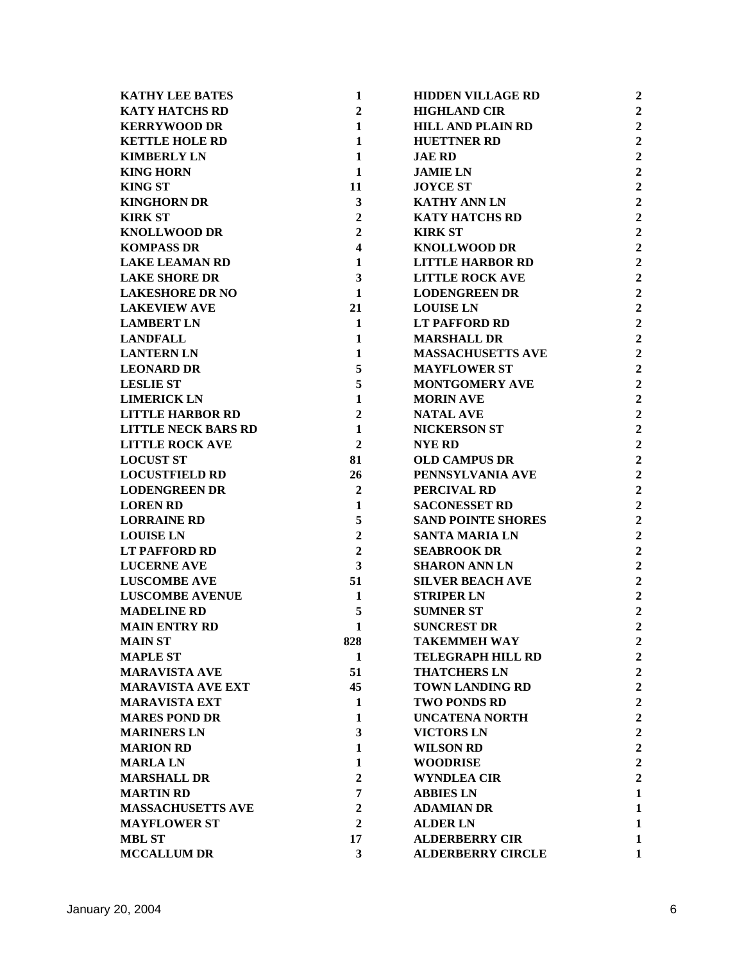|                                                 |                              |                                                 | $\overline{2}$ |
|-------------------------------------------------|------------------------------|-------------------------------------------------|----------------|
| <b>KATHY LEE BATES</b><br><b>KATY HATCHS RD</b> | $\mathbf{1}$<br>$\mathbf{2}$ | <b>HIDDEN VILLAGE RD</b><br><b>HIGHLAND CIR</b> | $\overline{2}$ |
| <b>KERRYWOOD DR</b>                             | $\mathbf{1}$                 | <b>HILL AND PLAIN RD</b>                        | $\overline{2}$ |
| <b>KETTLE HOLE RD</b>                           | $\mathbf{1}$                 | <b>HUETTNER RD</b>                              | $\overline{2}$ |
| <b>KIMBERLY LN</b>                              | $\mathbf{1}$                 | <b>JAE RD</b>                                   | $\overline{2}$ |
| <b>KING HORN</b>                                | $\mathbf 1$                  | <b>JAMIE LN</b>                                 | $\overline{2}$ |
|                                                 |                              |                                                 | $\overline{2}$ |
| <b>KING ST</b>                                  | 11                           | <b>JOYCE ST</b>                                 |                |
| <b>KINGHORN DR</b>                              | $\mathbf{3}$                 | <b>KATHY ANN LN</b>                             | $\overline{2}$ |
| <b>KIRK ST</b>                                  | $\boldsymbol{2}$             | <b>KATY HATCHS RD</b>                           | $\overline{2}$ |
| <b>KNOLLWOOD DR</b>                             | $\overline{2}$               | <b>KIRK ST</b>                                  | $\overline{2}$ |
| <b>KOMPASS DR</b>                               | $\overline{\mathbf{4}}$      | <b>KNOLLWOOD DR</b>                             | $\overline{2}$ |
| <b>LAKE LEAMAN RD</b>                           | 1                            | <b>LITTLE HARBOR RD</b>                         | $\overline{2}$ |
| <b>LAKE SHORE DR</b>                            | $\overline{\mathbf{3}}$      | <b>LITTLE ROCK AVE</b>                          | $\overline{2}$ |
| <b>LAKESHORE DR NO</b>                          | $\mathbf{1}$                 | <b>LODENGREEN DR</b>                            | $\overline{2}$ |
| <b>LAKEVIEW AVE</b>                             | 21                           | <b>LOUISE LN</b>                                | $\overline{2}$ |
| <b>LAMBERT LN</b>                               | $\mathbf{1}$                 | <b>LT PAFFORD RD</b>                            | $\overline{2}$ |
| <b>LANDFALL</b>                                 | $\mathbf{1}$                 | <b>MARSHALL DR</b>                              | $\overline{2}$ |
| <b>LANTERN LN</b>                               | $\mathbf{1}$                 | <b>MASSACHUSETTS AVE</b>                        | $\overline{2}$ |
| <b>LEONARD DR</b>                               | 5                            | <b>MAYFLOWER ST</b>                             | $\overline{2}$ |
| <b>LESLIE ST</b>                                | 5                            | <b>MONTGOMERY AVE</b>                           | $\overline{2}$ |
| <b>LIMERICK LN</b>                              | 1                            | <b>MORIN AVE</b>                                | $\overline{2}$ |
| <b>LITTLE HARBOR RD</b>                         | $\overline{2}$               | <b>NATAL AVE</b>                                | $\overline{2}$ |
| <b>LITTLE NECK BARS RD</b>                      | $\mathbf{1}$                 | <b>NICKERSON ST</b>                             | $\overline{2}$ |
| <b>LITTLE ROCK AVE</b>                          | $\overline{2}$               | <b>NYE RD</b>                                   | $\overline{2}$ |
| <b>LOCUST ST</b>                                | 81                           | <b>OLD CAMPUS DR</b>                            | $\overline{2}$ |
| <b>LOCUSTFIELD RD</b>                           | 26                           | PENNSYLVANIA AVE                                | $\overline{2}$ |
| <b>LODENGREEN DR</b>                            | $\overline{2}$               | PERCIVAL RD                                     | $\overline{2}$ |
| <b>LOREN RD</b>                                 | $\mathbf 1$                  | <b>SACONESSET RD</b>                            | $\overline{2}$ |
| <b>LORRAINE RD</b>                              | 5                            | <b>SAND POINTE SHORES</b>                       | $\overline{2}$ |
| <b>LOUISE LN</b>                                | $\boldsymbol{2}$             | <b>SANTA MARIA LN</b>                           | $\overline{2}$ |
| <b>LT PAFFORD RD</b>                            | $\overline{2}$               | <b>SEABROOK DR</b>                              | $\overline{2}$ |
| <b>LUCERNE AVE</b>                              | 3                            | <b>SHARON ANN LN</b>                            | $\overline{2}$ |
| <b>LUSCOMBE AVE</b>                             | 51                           | <b>SILVER BEACH AVE</b>                         | $\overline{2}$ |
| <b>LUSCOMBE AVENUE</b>                          | 1                            | <b>STRIPER LN</b>                               | $\overline{2}$ |
| <b>MADELINE RD</b>                              | 5                            | <b>SUMNER ST</b>                                | $\overline{2}$ |
| <b>MAIN ENTRY RD</b>                            | $\mathbf{1}$                 | <b>SUNCREST DR</b>                              | $\overline{2}$ |
| <b>MAIN ST</b>                                  | 828                          | <b>TAKEMMEH WAY</b>                             | $\overline{2}$ |
| <b>MAPLE ST</b>                                 | 1                            | <b>TELEGRAPH HILL RD</b>                        | $\overline{2}$ |
| <b>MARAVISTA AVE</b>                            | 51                           | <b>THATCHERS LN</b>                             | $\overline{2}$ |
| <b>MARAVISTA AVE EXT</b>                        | 45                           | <b>TOWN LANDING RD</b>                          | $\overline{2}$ |
| <b>MARAVISTA EXT</b>                            | 1                            | <b>TWO PONDS RD</b>                             | $\overline{2}$ |
| <b>MARES POND DR</b>                            | 1                            | <b>UNCATENA NORTH</b>                           | $\overline{2}$ |
| <b>MARINERS LN</b>                              | 3                            | <b>VICTORS LN</b>                               | $\overline{2}$ |
| <b>MARION RD</b>                                | 1                            | <b>WILSON RD</b>                                | $\overline{2}$ |
| <b>MARLALN</b>                                  | $\mathbf{1}$                 | <b>WOODRISE</b>                                 | $\overline{2}$ |
| <b>MARSHALL DR</b>                              | $\overline{2}$               | <b>WYNDLEA CIR</b>                              | $\overline{2}$ |
| <b>MARTIN RD</b>                                | 7                            | <b>ABBIES LN</b>                                | 1              |
| <b>MASSACHUSETTS AVE</b>                        | $\overline{2}$               | <b>ADAMIAN DR</b>                               | 1              |
| <b>MAYFLOWER ST</b>                             | $\overline{2}$               | <b>ALDER LN</b>                                 | $\mathbf{1}$   |
| <b>MBL ST</b>                                   | 17                           | <b>ALDERBERRY CIR</b>                           | $\mathbf{1}$   |
| <b>MCCALLUM DR</b>                              | 3                            | <b>ALDERBERRY CIRCLE</b>                        | 1              |
|                                                 |                              |                                                 |                |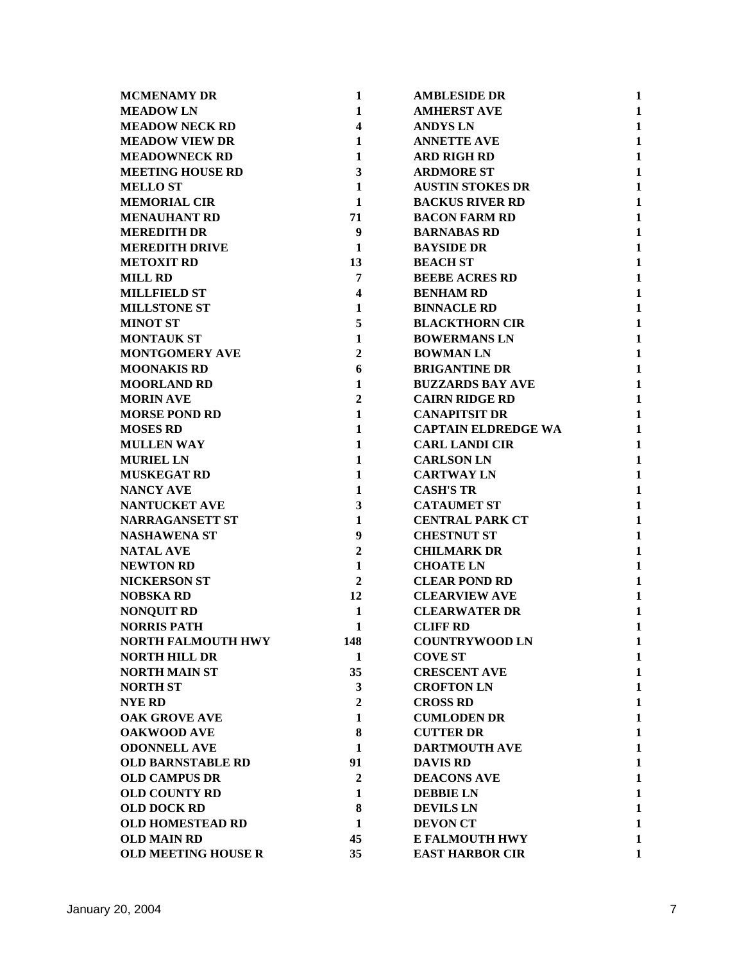| <b>MCMENAMY DR</b>         | $\mathbf{1}$            | <b>AMBLESIDE DR</b>        | $\mathbf{1}$ |
|----------------------------|-------------------------|----------------------------|--------------|
| <b>MEADOWLN</b>            | 1                       | <b>AMHERST AVE</b>         | $\mathbf{1}$ |
| <b>MEADOW NECK RD</b>      | 4                       | <b>ANDYS LN</b>            | $\mathbf{1}$ |
| <b>MEADOW VIEW DR</b>      | $\mathbf{1}$            | <b>ANNETTE AVE</b>         | $\mathbf{1}$ |
| <b>MEADOWNECK RD</b>       | $\mathbf{1}$            | <b>ARD RIGH RD</b>         | $\mathbf{1}$ |
| <b>MEETING HOUSE RD</b>    | 3                       | <b>ARDMORE ST</b>          | $\mathbf{1}$ |
| <b>MELLO ST</b>            | $\mathbf{1}$            | <b>AUSTIN STOKES DR</b>    | $\mathbf{1}$ |
| <b>MEMORIAL CIR</b>        | 1                       | <b>BACKUS RIVER RD</b>     | $\mathbf{1}$ |
| <b>MENAUHANT RD</b>        | 71                      | <b>BACON FARM RD</b>       | $\mathbf{1}$ |
| <b>MEREDITH DR</b>         | $\boldsymbol{9}$        | <b>BARNABAS RD</b>         | $\mathbf{1}$ |
| <b>MEREDITH DRIVE</b>      | $\mathbf{1}$            | <b>BAYSIDE DR</b>          | $\mathbf{1}$ |
| <b>METOXIT RD</b>          | 13                      | <b>BEACH ST</b>            | $\mathbf{1}$ |
| <b>MILL RD</b>             | 7                       | <b>BEEBE ACRES RD</b>      | $\mathbf{1}$ |
| <b>MILLFIELD ST</b>        | $\overline{\mathbf{4}}$ | <b>BENHAM RD</b>           | $\mathbf{1}$ |
| <b>MILLSTONE ST</b>        | 1                       | <b>BINNACLE RD</b>         | $\mathbf{1}$ |
| <b>MINOT ST</b>            | 5                       | <b>BLACKTHORN CIR</b>      | $\mathbf{1}$ |
| <b>MONTAUK ST</b>          | $\mathbf{1}$            | <b>BOWERMANS LN</b>        | $\mathbf{1}$ |
| <b>MONTGOMERY AVE</b>      | $\mathbf{2}$            | <b>BOWMAN LN</b>           | $\mathbf{1}$ |
| <b>MOONAKIS RD</b>         | 6                       | <b>BRIGANTINE DR</b>       | $\mathbf{1}$ |
| <b>MOORLAND RD</b>         | $\mathbf{1}$            | <b>BUZZARDS BAY AVE</b>    | $\mathbf{1}$ |
| <b>MORIN AVE</b>           | $\overline{2}$          | <b>CAIRN RIDGE RD</b>      | $\mathbf{1}$ |
| <b>MORSE POND RD</b>       | $\mathbf{1}$            | <b>CANAPITSIT DR</b>       | $\mathbf{1}$ |
| <b>MOSES RD</b>            | $\mathbf{1}$            | <b>CAPTAIN ELDREDGE WA</b> | $\mathbf{1}$ |
| <b>MULLEN WAY</b>          | 1                       | <b>CARL LANDI CIR</b>      | $\mathbf{1}$ |
| <b>MURIEL LN</b>           | $\mathbf{1}$            | <b>CARLSON LN</b>          | $\mathbf{1}$ |
| <b>MUSKEGAT RD</b>         | $\mathbf{1}$            | <b>CARTWAY LN</b>          | $\mathbf{1}$ |
| <b>NANCY AVE</b>           | 1                       | <b>CASH'S TR</b>           | $\mathbf{1}$ |
| <b>NANTUCKET AVE</b>       | 3                       | <b>CATAUMET ST</b>         | $\mathbf{1}$ |
| <b>NARRAGANSETT ST</b>     | $\mathbf{1}$            | <b>CENTRAL PARK CT</b>     | $\mathbf{1}$ |
| <b>NASHAWENA ST</b>        | 9                       | <b>CHESTNUT ST</b>         | $\mathbf{1}$ |
| <b>NATAL AVE</b>           | $\mathbf{2}$            | <b>CHILMARK DR</b>         | $\mathbf{1}$ |
| <b>NEWTON RD</b>           | 1                       | <b>CHOATE LN</b>           | $\mathbf{1}$ |
| <b>NICKERSON ST</b>        | $\mathbf{2}$            | <b>CLEAR POND RD</b>       | $\mathbf{1}$ |
| <b>NOBSKA RD</b>           | 12                      | <b>CLEARVIEW AVE</b>       | $\mathbf{1}$ |
| <b>NONQUIT RD</b>          | $\mathbf{1}$            | <b>CLEARWATER DR</b>       | $\mathbf{1}$ |
| <b>NORRIS PATH</b>         | $\mathbf{1}$            | <b>CLIFF RD</b>            | $\mathbf{1}$ |
| <b>NORTH FALMOUTH HWY</b>  | 148                     | <b>COUNTRYWOOD LN</b>      | 1            |
| <b>NORTH HILL DR</b>       | 1                       | <b>COVE ST</b>             | $\mathbf{1}$ |
| <b>NORTH MAIN ST</b>       | 35                      | <b>CRESCENT AVE</b>        | $\mathbf{1}$ |
| <b>NORTH ST</b>            | 3                       | <b>CROFTON LN</b>          | $\mathbf{1}$ |
| <b>NYE RD</b>              | $\boldsymbol{2}$        | <b>CROSS RD</b>            | $\mathbf{1}$ |
| <b>OAK GROVE AVE</b>       | 1                       | <b>CUMLODEN DR</b>         | $\mathbf{1}$ |
| <b>OAKWOOD AVE</b>         | 8                       | <b>CUTTER DR</b>           | $\mathbf{1}$ |
| <b>ODONNELL AVE</b>        | 1                       | <b>DARTMOUTH AVE</b>       | $\mathbf{1}$ |
| <b>OLD BARNSTABLE RD</b>   | 91                      | <b>DAVIS RD</b>            | $\mathbf{1}$ |
| <b>OLD CAMPUS DR</b>       | $\mathbf{2}$            | <b>DEACONS AVE</b>         | $\mathbf{1}$ |
| <b>OLD COUNTY RD</b>       | 1                       | <b>DEBBIE LN</b>           | $\mathbf{1}$ |
| <b>OLD DOCK RD</b>         | 8                       | <b>DEVILS LN</b>           | $\mathbf{1}$ |
| <b>OLD HOMESTEAD RD</b>    | 1                       | <b>DEVON CT</b>            | $\mathbf{1}$ |
| <b>OLD MAIN RD</b>         | 45                      | <b>E FALMOUTH HWY</b>      | $\mathbf{1}$ |
| <b>OLD MEETING HOUSE R</b> | 35                      | <b>EAST HARBOR CIR</b>     | $\mathbf{1}$ |
|                            |                         |                            |              |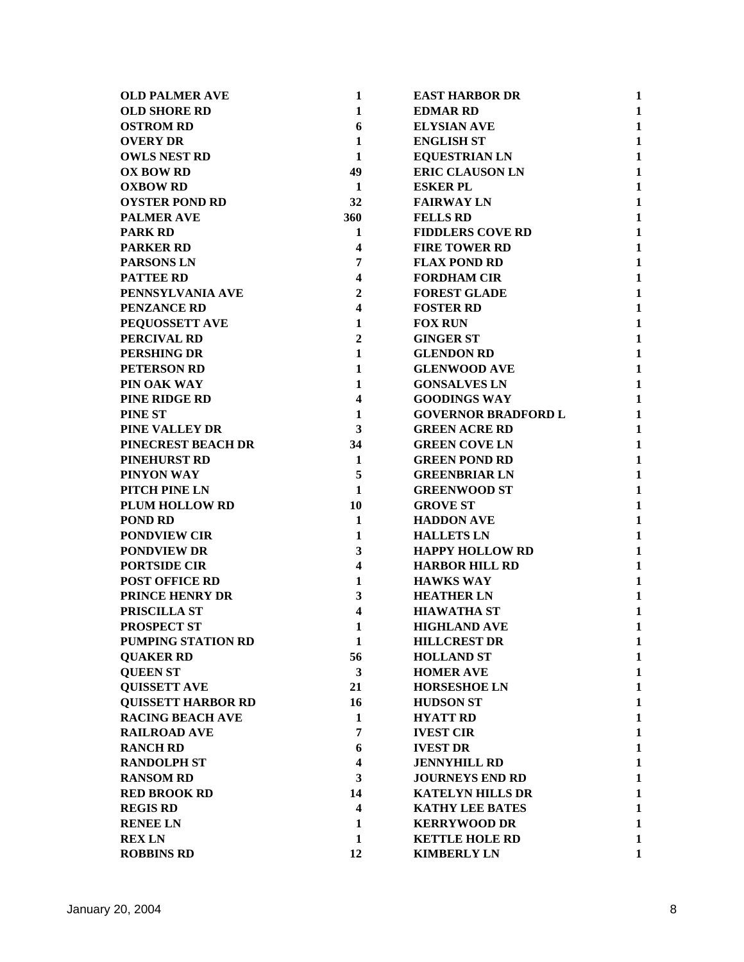| <b>OLD PALMER AVE</b>     | 1                       | <b>EAST HARBOR DR</b>      | 1            |
|---------------------------|-------------------------|----------------------------|--------------|
| <b>OLD SHORE RD</b>       | $\mathbf{1}$            | <b>EDMAR RD</b>            | $\mathbf{1}$ |
| <b>OSTROM RD</b>          | 6                       | <b>ELYSIAN AVE</b>         | $\mathbf{1}$ |
| <b>OVERY DR</b>           | $\mathbf{1}$            | <b>ENGLISH ST</b>          | $\mathbf{1}$ |
| <b>OWLS NEST RD</b>       | 1                       | <b>EQUESTRIAN LN</b>       | $\mathbf{1}$ |
| <b>OX BOW RD</b>          | 49                      | <b>ERIC CLAUSON LN</b>     | $\mathbf{1}$ |
| <b>OXBOW RD</b>           | $\mathbf{1}$            | <b>ESKER PL</b>            | $\mathbf{1}$ |
| <b>OYSTER POND RD</b>     | 32                      | <b>FAIRWAY LN</b>          | $\mathbf{1}$ |
| <b>PALMER AVE</b>         | 360                     | <b>FELLS RD</b>            | $\mathbf{1}$ |
| <b>PARK RD</b>            | 1                       | <b>FIDDLERS COVE RD</b>    | $\mathbf{1}$ |
| <b>PARKER RD</b>          | 4                       | <b>FIRE TOWER RD</b>       | $\mathbf{1}$ |
| <b>PARSONS LN</b>         | $\overline{7}$          | <b>FLAX POND RD</b>        | $\mathbf{1}$ |
| <b>PATTEE RD</b>          | $\overline{\mathbf{4}}$ | <b>FORDHAM CIR</b>         | $\mathbf{1}$ |
| PENNSYLVANIA AVE          | $\overline{2}$          | <b>FOREST GLADE</b>        | $\mathbf{1}$ |
| <b>PENZANCE RD</b>        | $\overline{\mathbf{4}}$ | <b>FOSTER RD</b>           | $\mathbf{1}$ |
| PEQUOSSETT AVE            | $\mathbf{1}$            | <b>FOX RUN</b>             | $\mathbf{1}$ |
| PERCIVAL RD               | $\boldsymbol{2}$        | <b>GINGER ST</b>           | $\mathbf{1}$ |
| <b>PERSHING DR</b>        | $\mathbf{1}$            | <b>GLENDON RD</b>          | $\mathbf{1}$ |
| PETERSON RD               | $\mathbf{1}$            | <b>GLENWOOD AVE</b>        | $\mathbf{1}$ |
| PIN OAK WAY               | 1                       | <b>GONSALVES LN</b>        | $\mathbf{1}$ |
| PINE RIDGE RD             | $\overline{\mathbf{4}}$ | <b>GOODINGS WAY</b>        | $\mathbf{1}$ |
| <b>PINE ST</b>            | $\mathbf{1}$            | <b>GOVERNOR BRADFORD L</b> | $\mathbf{1}$ |
| PINE VALLEY DR            | 3                       | <b>GREEN ACRE RD</b>       | $\mathbf{1}$ |
| PINECREST BEACH DR        | 34                      | <b>GREEN COVE LN</b>       | $\mathbf{1}$ |
| <b>PINEHURST RD</b>       | $\mathbf 1$             | <b>GREEN POND RD</b>       | $\mathbf{1}$ |
| PINYON WAY                | 5                       | <b>GREENBRIAR LN</b>       | $\mathbf{1}$ |
| <b>PITCH PINE LN</b>      | $\mathbf{1}$            | <b>GREENWOOD ST</b>        | $\mathbf{1}$ |
| <b>PLUM HOLLOW RD</b>     | 10                      | <b>GROVE ST</b>            | $\mathbf{1}$ |
| <b>POND RD</b>            | 1                       | <b>HADDON AVE</b>          | $\mathbf{1}$ |
| <b>PONDVIEW CIR</b>       | 1                       | <b>HALLETS LN</b>          | $\mathbf{1}$ |
| <b>PONDVIEW DR</b>        | 3                       | <b>HAPPY HOLLOW RD</b>     | $\mathbf{1}$ |
| <b>PORTSIDE CIR</b>       | $\overline{\mathbf{4}}$ | <b>HARBOR HILL RD</b>      | $\mathbf{1}$ |
| <b>POST OFFICE RD</b>     | $\mathbf{1}$            | <b>HAWKS WAY</b>           | $\mathbf{1}$ |
| <b>PRINCE HENRY DR</b>    | 3                       | <b>HEATHER LN</b>          | $\mathbf{1}$ |
| PRISCILLA ST              | $\overline{\mathbf{4}}$ | <b>HIAWATHA ST</b>         | $\mathbf{1}$ |
| <b>PROSPECT ST</b>        | 1                       | <b>HIGHLAND AVE</b>        | $\mathbf{1}$ |
| <b>PUMPING STATION RD</b> | 1                       | <b>HILLCREST DR</b>        | $\mathbf{1}$ |
| <b>QUAKER RD</b>          | 56                      | <b>HOLLAND ST</b>          | $\mathbf{1}$ |
| <b>QUEEN ST</b>           | $\mathbf{3}$            | <b>HOMER AVE</b>           | $\mathbf{1}$ |
| <b>QUISSETT AVE</b>       | 21                      | <b>HORSESHOE LN</b>        | $\mathbf{1}$ |
| <b>QUISSETT HARBOR RD</b> | 16                      | <b>HUDSON ST</b>           | $\mathbf{1}$ |
| <b>RACING BEACH AVE</b>   | 1                       | <b>HYATT RD</b>            | $\mathbf{1}$ |
| <b>RAILROAD AVE</b>       | 7                       | <b>IVEST CIR</b>           | $\mathbf{1}$ |
| <b>RANCH RD</b>           | 6                       | <b>IVEST DR</b>            | $\mathbf{1}$ |
| <b>RANDOLPH ST</b>        | 4                       | <b>JENNYHILL RD</b>        | $\mathbf{1}$ |
| <b>RANSOM RD</b>          | 3                       | <b>JOURNEYS END RD</b>     | $\mathbf{1}$ |
| <b>RED BROOK RD</b>       | 14                      | <b>KATELYN HILLS DR</b>    | $\mathbf{1}$ |
| <b>REGIS RD</b>           | $\overline{\mathbf{4}}$ | <b>KATHY LEE BATES</b>     | $\mathbf{1}$ |
| <b>RENEE LN</b>           | 1                       | <b>KERRYWOOD DR</b>        | $\mathbf{1}$ |
| <b>REX LN</b>             | 1                       | <b>KETTLE HOLE RD</b>      | $\mathbf{1}$ |
| <b>ROBBINS RD</b>         | 12                      | <b>KIMBERLY LN</b>         | $\mathbf{1}$ |
|                           |                         |                            |              |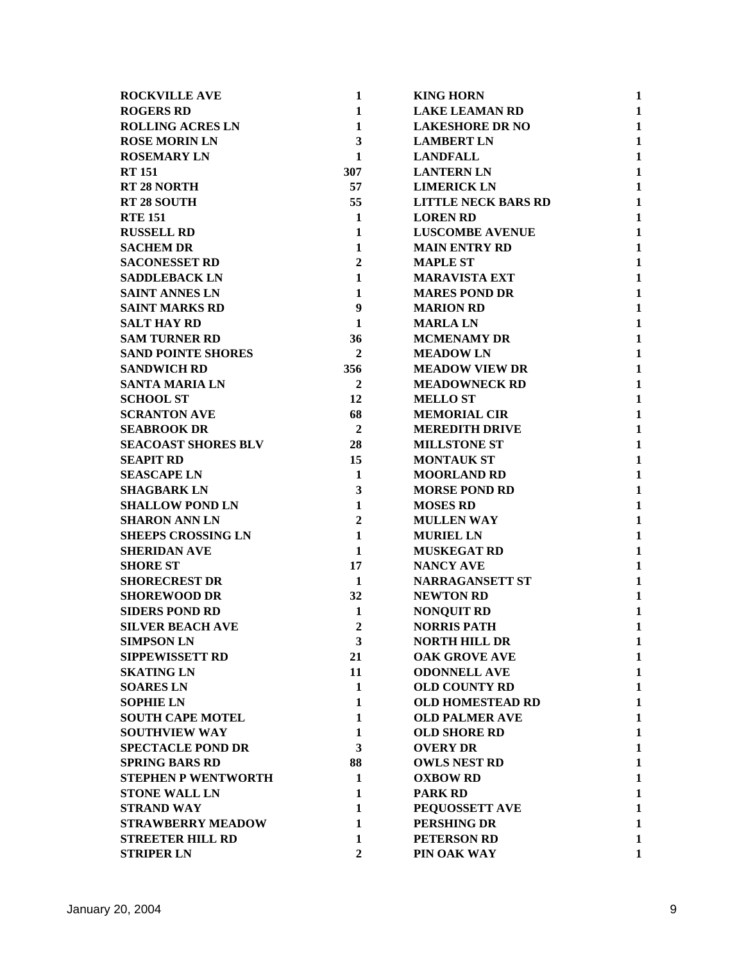| <b>ROCKVILLE AVE</b>       | 1                | <b>KING HORN</b>           | 1            |
|----------------------------|------------------|----------------------------|--------------|
| <b>ROGERS RD</b>           | 1                | <b>LAKE LEAMAN RD</b>      | 1            |
| <b>ROLLING ACRES LN</b>    | $\mathbf{1}$     | <b>LAKESHORE DR NO</b>     | $\mathbf{1}$ |
| <b>ROSE MORIN LN</b>       | 3                | <b>LAMBERT LN</b>          | $\mathbf{1}$ |
| <b>ROSEMARY LN</b>         | 1                | <b>LANDFALL</b>            | $\mathbf{1}$ |
| <b>RT 151</b>              | 307              | <b>LANTERN LN</b>          | $\mathbf{1}$ |
| <b>RT 28 NORTH</b>         | 57               | <b>LIMERICK LN</b>         | $\mathbf{1}$ |
| <b>RT 28 SOUTH</b>         | 55               | <b>LITTLE NECK BARS RD</b> | $\mathbf{1}$ |
| <b>RTE 151</b>             | $\mathbf{1}$     | <b>LOREN RD</b>            | $\mathbf{1}$ |
| <b>RUSSELL RD</b>          | $\mathbf{1}$     | <b>LUSCOMBE AVENUE</b>     | $\mathbf{1}$ |
| <b>SACHEM DR</b>           | 1                | <b>MAIN ENTRY RD</b>       | 1            |
| <b>SACONESSET RD</b>       | $\overline{2}$   | <b>MAPLE ST</b>            | $\mathbf{1}$ |
| <b>SADDLEBACK LN</b>       | $\mathbf{1}$     | <b>MARAVISTA EXT</b>       | $\mathbf{1}$ |
| <b>SAINT ANNES LN</b>      | 1                | <b>MARES POND DR</b>       | $\mathbf{1}$ |
| <b>SAINT MARKS RD</b>      | $\boldsymbol{9}$ | <b>MARION RD</b>           | $\mathbf{1}$ |
| <b>SALT HAY RD</b>         | $\mathbf{1}$     | <b>MARLALN</b>             | $\mathbf{1}$ |
| <b>SAM TURNER RD</b>       | 36               | <b>MCMENAMY DR</b>         | $\mathbf{1}$ |
| <b>SAND POINTE SHORES</b>  | 2                | <b>MEADOWLN</b>            | $\mathbf{1}$ |
| <b>SANDWICH RD</b>         | 356              | <b>MEADOW VIEW DR</b>      | $\mathbf{1}$ |
| <b>SANTA MARIA LN</b>      | $\overline{2}$   | <b>MEADOWNECK RD</b>       | $\mathbf{1}$ |
| <b>SCHOOL ST</b>           | 12               | <b>MELLO ST</b>            | $\mathbf{1}$ |
| <b>SCRANTON AVE</b>        | 68               | <b>MEMORIAL CIR</b>        | $\mathbf{1}$ |
| <b>SEABROOK DR</b>         | $\boldsymbol{2}$ | <b>MEREDITH DRIVE</b>      | $\mathbf{1}$ |
| <b>SEACOAST SHORES BLV</b> | 28               | <b>MILLSTONE ST</b>        | 1            |
| <b>SEAPIT RD</b>           | 15               | <b>MONTAUK ST</b>          | 1            |
| <b>SEASCAPE LN</b>         | $\mathbf{1}$     | <b>MOORLAND RD</b>         | 1            |
| <b>SHAGBARK LN</b>         | 3                | <b>MORSE POND RD</b>       | $\mathbf{1}$ |
| <b>SHALLOW POND LN</b>     | $\mathbf{1}$     | <b>MOSES RD</b>            | 1            |
| <b>SHARON ANN LN</b>       | $\mathbf{2}$     | <b>MULLEN WAY</b>          | $\mathbf{1}$ |
| <b>SHEEPS CROSSING LN</b>  | $\mathbf{1}$     | <b>MURIEL LN</b>           | 1            |
| <b>SHERIDAN AVE</b>        | $\mathbf{1}$     | <b>MUSKEGAT RD</b>         | $\mathbf{1}$ |
| <b>SHORE ST</b>            | 17               | <b>NANCY AVE</b>           | $\mathbf{1}$ |
| <b>SHORECREST DR</b>       | 1                | <b>NARRAGANSETT ST</b>     | $\mathbf{1}$ |
| <b>SHOREWOOD DR</b>        | 32               | <b>NEWTON RD</b>           | 1            |
| <b>SIDERS POND RD</b>      | 1                | <b>NONQUIT RD</b>          | 1            |
| <b>SILVER BEACH AVE</b>    | $\overline{2}$   | <b>NORRIS PATH</b>         | 1            |
| <b>SIMPSON LN</b>          | 3                | <b>NORTH HILL DR</b>       | 1            |
| <b>SIPPEWISSETT RD</b>     | 21               | <b>OAK GROVE AVE</b>       | $\mathbf{1}$ |
| <b>SKATING LN</b>          | 11               | <b>ODONNELL AVE</b>        | 1            |
| <b>SOARES LN</b>           | $\mathbf{1}$     | <b>OLD COUNTY RD</b>       | 1            |
| <b>SOPHIE LN</b>           | $\mathbf{1}$     | <b>OLD HOMESTEAD RD</b>    | $\mathbf{1}$ |
| <b>SOUTH CAPE MOTEL</b>    | 1                | <b>OLD PALMER AVE</b>      | 1            |
| <b>SOUTHVIEW WAY</b>       | 1                | <b>OLD SHORE RD</b>        | 1            |
| <b>SPECTACLE POND DR</b>   | 3                | <b>OVERY DR</b>            | $\mathbf{1}$ |
| <b>SPRING BARS RD</b>      | 88               | <b>OWLS NEST RD</b>        | 1            |
| <b>STEPHEN P WENTWORTH</b> | 1                | <b>OXBOW RD</b>            | 1            |
| <b>STONE WALL LN</b>       | $\mathbf{1}$     | <b>PARK RD</b>             | 1            |
| <b>STRAND WAY</b>          | 1                | PEQUOSSETT AVE             | 1            |
| <b>STRAWBERRY MEADOW</b>   | $\mathbf{1}$     | PERSHING DR                | 1            |
| <b>STREETER HILL RD</b>    | $\mathbf{1}$     | <b>PETERSON RD</b>         | 1            |
| <b>STRIPER LN</b>          | $\overline{2}$   | PIN OAK WAY                | 1            |
|                            |                  |                            |              |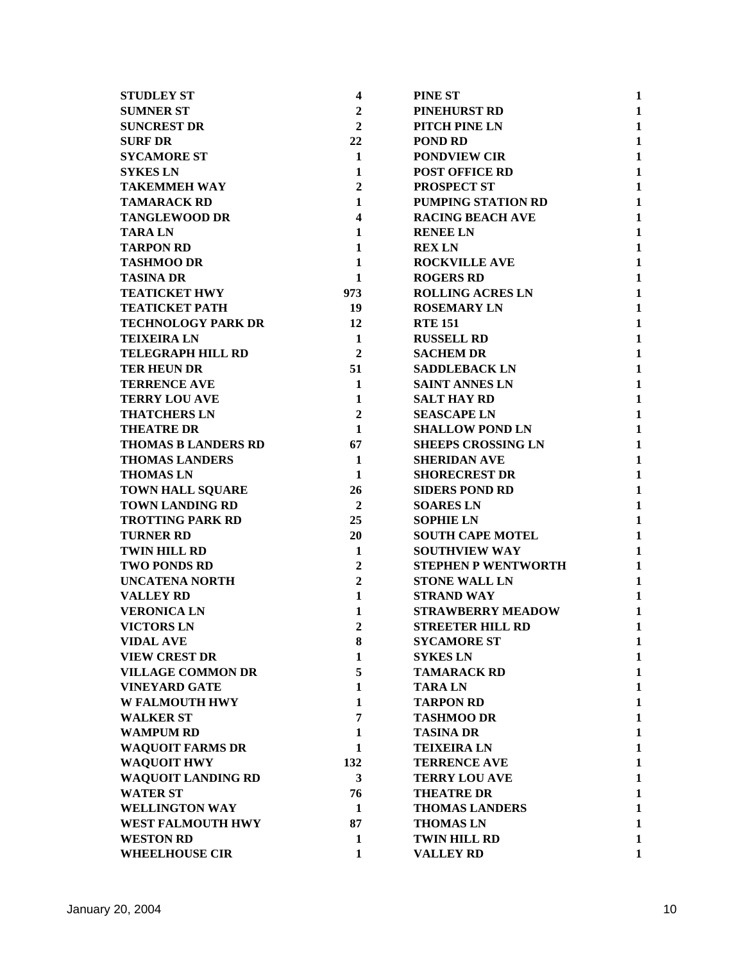| <b>STUDLEY ST</b>          | $\overline{\mathbf{4}}$ | <b>PINE ST</b>             | 1            |
|----------------------------|-------------------------|----------------------------|--------------|
| <b>SUMNER ST</b>           | $\overline{2}$          | <b>PINEHURST RD</b>        | $\mathbf{1}$ |
| <b>SUNCREST DR</b>         | $\mathbf{2}$            | PITCH PINE LN              | $\mathbf{1}$ |
| <b>SURF DR</b>             | 22                      | <b>POND RD</b>             | $\mathbf{1}$ |
| <b>SYCAMORE ST</b>         | $\mathbf{1}$            | <b>PONDVIEW CIR</b>        | $\mathbf{1}$ |
| <b>SYKES LN</b>            | $\mathbf{1}$            | <b>POST OFFICE RD</b>      | $\mathbf{1}$ |
| <b>TAKEMMEH WAY</b>        | $\overline{2}$          | <b>PROSPECT ST</b>         | $\mathbf{1}$ |
| <b>TAMARACK RD</b>         | 1                       | PUMPING STATION RD         | $\mathbf{1}$ |
| <b>TANGLEWOOD DR</b>       | $\overline{\mathbf{4}}$ | <b>RACING BEACH AVE</b>    | 1            |
| <b>TARALN</b>              | 1                       | <b>RENEE LN</b>            | $\mathbf{1}$ |
| <b>TARPON RD</b>           | $\mathbf{1}$            | <b>REX LN</b>              | $\mathbf{1}$ |
| <b>TASHMOO DR</b>          | 1                       | <b>ROCKVILLE AVE</b>       | 1            |
| <b>TASINA DR</b>           | $\mathbf{1}$            | <b>ROGERS RD</b>           | $\mathbf{1}$ |
| <b>TEATICKET HWY</b>       | 973                     | <b>ROLLING ACRES LN</b>    | $\mathbf{1}$ |
| <b>TEATICKET PATH</b>      | 19                      | <b>ROSEMARY LN</b>         | $\mathbf{1}$ |
| <b>TECHNOLOGY PARK DR</b>  | 12                      | <b>RTE 151</b>             | $\mathbf{1}$ |
| <b>TEIXEIRA LN</b>         | $\mathbf{1}$            | <b>RUSSELL RD</b>          | $\mathbf{1}$ |
| <b>TELEGRAPH HILL RD</b>   | $\overline{2}$          | <b>SACHEM DR</b>           | $\mathbf{1}$ |
| <b>TER HEUN DR</b>         | 51                      | <b>SADDLEBACK LN</b>       | $\mathbf{1}$ |
| <b>TERRENCE AVE</b>        | $\mathbf{1}$            | <b>SAINT ANNES LN</b>      | $\mathbf{1}$ |
| <b>TERRY LOU AVE</b>       | 1                       | <b>SALT HAY RD</b>         | $\mathbf{1}$ |
| <b>THATCHERS LN</b>        | $\boldsymbol{2}$        | <b>SEASCAPE LN</b>         | $\mathbf{1}$ |
| <b>THEATRE DR</b>          | $\mathbf{1}$            | <b>SHALLOW POND LN</b>     | $\mathbf{1}$ |
| <b>THOMAS B LANDERS RD</b> | 67                      | <b>SHEEPS CROSSING LN</b>  | $\mathbf{1}$ |
| <b>THOMAS LANDERS</b>      | $\mathbf{1}$            | <b>SHERIDAN AVE</b>        | $\mathbf{1}$ |
| <b>THOMAS LN</b>           | $\mathbf{1}$            | <b>SHORECREST DR</b>       | $\mathbf{1}$ |
| <b>TOWN HALL SQUARE</b>    | 26                      | <b>SIDERS POND RD</b>      | $\mathbf{1}$ |
| <b>TOWN LANDING RD</b>     | $\boldsymbol{2}$        | <b>SOARES LN</b>           | $\mathbf{1}$ |
| <b>TROTTING PARK RD</b>    | 25                      | <b>SOPHIE LN</b>           | $\mathbf{1}$ |
| <b>TURNER RD</b>           | 20                      | <b>SOUTH CAPE MOTEL</b>    | $\mathbf{1}$ |
| <b>TWIN HILL RD</b>        | $\mathbf{1}$            | <b>SOUTHVIEW WAY</b>       | $\mathbf{1}$ |
| <b>TWO PONDS RD</b>        | $\overline{2}$          | <b>STEPHEN P WENTWORTH</b> | $\mathbf{1}$ |
| <b>UNCATENA NORTH</b>      | $\overline{2}$          | <b>STONE WALL LN</b>       | $\mathbf{1}$ |
| <b>VALLEY RD</b>           | $\mathbf{1}$            | <b>STRAND WAY</b>          | 1            |
| <b>VERONICA LN</b>         | $\mathbf{1}$            | <b>STRAWBERRY MEADOW</b>   | 1            |
| <b>VICTORS LN</b>          | $\overline{2}$          | <b>STREETER HILL RD</b>    | 1            |
| <b>VIDAL AVE</b>           | 8                       | <b>SYCAMORE ST</b>         | 1            |
| <b>VIEW CREST DR</b>       | $\mathbf{1}$            | <b>SYKES LN</b>            | $\mathbf{1}$ |
| <b>VILLAGE COMMON DR</b>   | 5                       | <b>TAMARACK RD</b>         | $\mathbf{1}$ |
| <b>VINEYARD GATE</b>       | 1                       | <b>TARALN</b>              | $\mathbf{1}$ |
| <b>W FALMOUTH HWY</b>      | $\mathbf{1}$            | <b>TARPON RD</b>           | $\mathbf{1}$ |
| <b>WALKER ST</b>           | $\overline{7}$          | <b>TASHMOO DR</b>          | $\mathbf{1}$ |
| <b>WAMPUM RD</b>           | 1                       | <b>TASINA DR</b>           | 1            |
| <b>WAQUOIT FARMS DR</b>    | 1                       | <b>TEIXEIRA LN</b>         | $\mathbf{1}$ |
| <b>WAQUOIT HWY</b>         | 132                     | <b>TERRENCE AVE</b>        | $\mathbf{1}$ |
| <b>WAQUOIT LANDING RD</b>  | 3                       | <b>TERRY LOU AVE</b>       | $\mathbf{1}$ |
| <b>WATER ST</b>            | 76                      | <b>THEATRE DR</b>          | $\mathbf{1}$ |
| <b>WELLINGTON WAY</b>      | 1                       | <b>THOMAS LANDERS</b>      | 1            |
| <b>WEST FALMOUTH HWY</b>   | 87                      | <b>THOMAS LN</b>           | $\mathbf{1}$ |
| <b>WESTON RD</b>           | 1                       | TWIN HILL RD               | 1            |
| <b>WHEELHOUSE CIR</b>      | $\mathbf{1}$            | <b>VALLEY RD</b>           | $\mathbf{1}$ |
|                            |                         |                            |              |